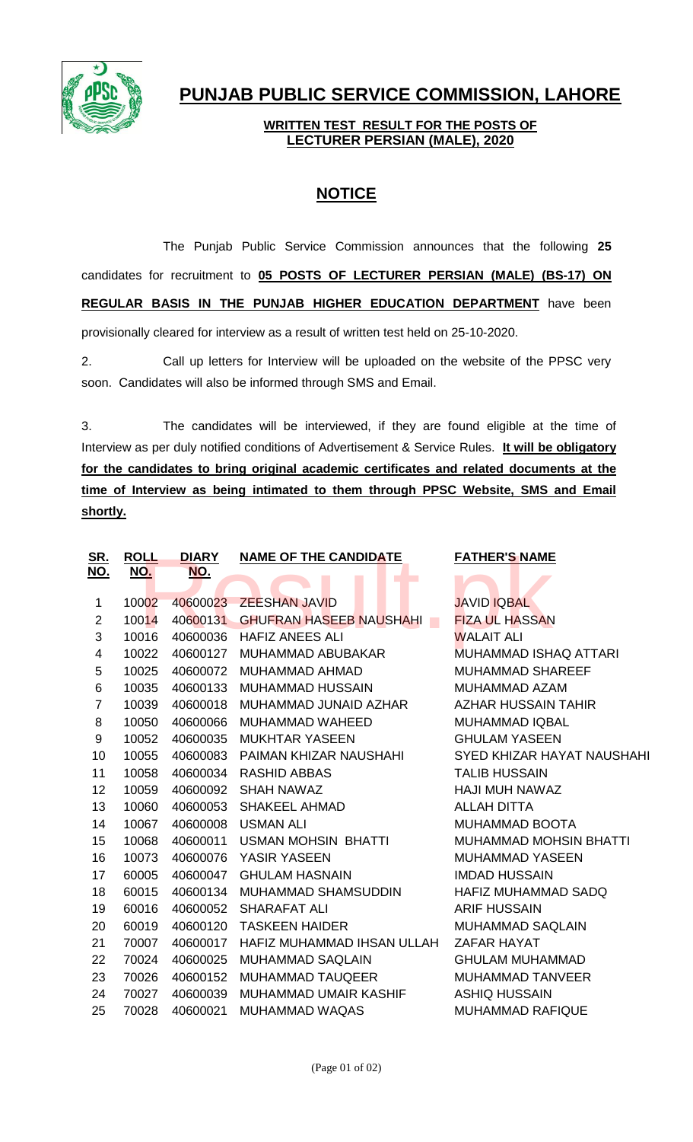

## **PUNJAB PUBLIC SERVICE COMMISSION, LAHORE**

## **WRITTEN TEST RESULT FOR THE POSTS OF LECTURER PERSIAN (MALE), 2020**

## **NOTICE**

The Punjab Public Service Commission announces that the following **25** candidates for recruitment to **05 POSTS OF LECTURER PERSIAN (MALE) (BS-17) ON REGULAR BASIS IN THE PUNJAB HIGHER EDUCATION DEPARTMENT** have been provisionally cleared for interview as a result of written test held on 25-10-2020.

2. Call up letters for Interview will be uploaded on the website of the PPSC very soon. Candidates will also be informed through SMS and Email.

3. The candidates will be interviewed, if they are found eligible at the time of Interview as per duly notified conditions of Advertisement & Service Rules. **It will be obligatory for the candidates to bring original academic certificates and related documents at the time of Interview as being intimated to them through PPSC Website, SMS and Email shortly.**

| <b>ROLL</b> | <b>DIARY</b>                                   | <b>NAME OF THE CANDIDATE</b>                               | <b>FATHER'S NAME</b>                                                                                                                          |
|-------------|------------------------------------------------|------------------------------------------------------------|-----------------------------------------------------------------------------------------------------------------------------------------------|
|             |                                                |                                                            |                                                                                                                                               |
|             |                                                |                                                            | <b>JAVID IQBAL</b>                                                                                                                            |
|             |                                                |                                                            | <b>FIZA UL HASSAN</b>                                                                                                                         |
|             |                                                |                                                            | <b>WALAIT ALI</b>                                                                                                                             |
|             |                                                | <b>MUHAMMAD ABUBAKAR</b>                                   | <b>MUHAMMAD ISHAQ ATTARI</b>                                                                                                                  |
| 10025       | 40600072                                       | <b>MUHAMMAD AHMAD</b>                                      | <b>MUHAMMAD SHAREEF</b>                                                                                                                       |
| 10035       | 40600133                                       | <b>MUHAMMAD HUSSAIN</b>                                    | <b>MUHAMMAD AZAM</b>                                                                                                                          |
| 10039       | 40600018                                       | MUHAMMAD JUNAID AZHAR                                      | <b>AZHAR HUSSAIN TAHIR</b>                                                                                                                    |
| 10050       | 40600066                                       | <b>MUHAMMAD WAHEED</b>                                     | <b>MUHAMMAD IQBAL</b>                                                                                                                         |
| 10052       | 40600035                                       | <b>MUKHTAR YASEEN</b>                                      | <b>GHULAM YASEEN</b>                                                                                                                          |
| 10055       | 40600083                                       | PAIMAN KHIZAR NAUSHAHI                                     | <b>SYED KHIZAR HAYAT NAUSHAHI</b>                                                                                                             |
| 10058       | 40600034                                       | <b>RASHID ABBAS</b>                                        | <b>TALIB HUSSAIN</b>                                                                                                                          |
| 10059       | 40600092                                       | <b>SHAH NAWAZ</b>                                          | <b>HAJI MUH NAWAZ</b>                                                                                                                         |
| 10060       | 40600053                                       | <b>SHAKEEL AHMAD</b>                                       | <b>ALLAH DITTA</b>                                                                                                                            |
| 10067       | 40600008                                       | <b>USMAN ALI</b>                                           | <b>MUHAMMAD BOOTA</b>                                                                                                                         |
| 10068       | 40600011                                       | <b>USMAN MOHSIN BHATTI</b>                                 | <b>MUHAMMAD MOHSIN BHATTI</b>                                                                                                                 |
| 10073       | 40600076                                       | YASIR YASEEN                                               | <b>MUHAMMAD YASEEN</b>                                                                                                                        |
| 60005       | 40600047                                       | <b>GHULAM HASNAIN</b>                                      | <b>IMDAD HUSSAIN</b>                                                                                                                          |
| 60015       | 40600134                                       | <b>MUHAMMAD SHAMSUDDIN</b>                                 | <b>HAFIZ MUHAMMAD SADQ</b>                                                                                                                    |
| 60016       | 40600052                                       | SHARAFAT ALI                                               | <b>ARIF HUSSAIN</b>                                                                                                                           |
| 60019       | 40600120                                       | <b>TASKEEN HAIDER</b>                                      | <b>MUHAMMAD SAQLAIN</b>                                                                                                                       |
| 70007       | 40600017                                       |                                                            | <b>ZAFAR HAYAT</b>                                                                                                                            |
| 70024       | 40600025                                       | <b>MUHAMMAD SAQLAIN</b>                                    | <b>GHULAM MUHAMMAD</b>                                                                                                                        |
| 70026       | 40600152                                       | <b>MUHAMMAD TAUQEER</b>                                    | <b>MUHAMMAD TANVEER</b>                                                                                                                       |
| 70027       | 40600039                                       | MUHAMMAD UMAIR KASHIF                                      | <b>ASHIQ HUSSAIN</b>                                                                                                                          |
| 70028       | 40600021                                       | <b>MUHAMMAD WAQAS</b>                                      | <b>MUHAMMAD RAFIQUE</b>                                                                                                                       |
|             | <u>NO.</u><br>10002<br>10014<br>10016<br>10022 | <u>NO.</u><br>40600023<br>40600131<br>40600036<br>40600127 | <b>ZEESHAN JAVID</b><br><b>GHUFRAN HASEEB NAUSHAHI</b><br>$\mathcal{L}_{\mathcal{A}}$<br><b>HAFIZ ANEES ALI</b><br>HAFIZ MUHAMMAD IHSAN ULLAH |